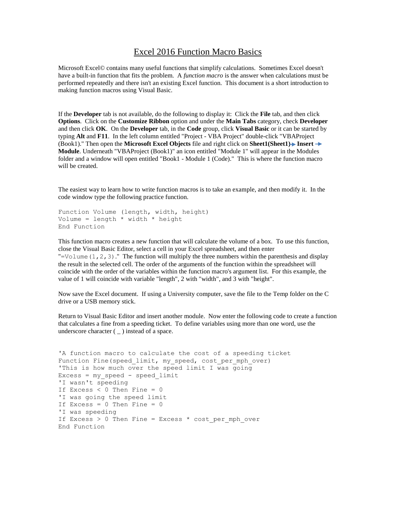## Excel 2016 Function Macro Basics

Microsoft Excel© contains many useful functions that simplify calculations. Sometimes Excel doesn't have a built-in function that fits the problem. A *function macro* is the answer when calculations must be performed repeatedly and there isn't an existing Excel function. This document is a short introduction to making function macros using Visual Basic.

If the **Developer** tab is not available, do the following to display it: Click the **File** tab, and then click **Options**. Click on the **Customize Ribbon** option and under the **Main Tabs** category, check **Developer**  and then click **OK**. On the **Developer** tab, in the **Code** group, click **Visual Basic** or it can be started by typing **Alt** and **F11**. In the left column entitled "Project - VBA Project" double-click "VBAProject (Book1)." Then open the **Microsoft Excel Objects** file and right click on **Sheet1(Sheet1) Insert Module**. Underneath "VBAProject (Book1)" an icon entitled "Module 1" will appear in the Modules folder and a window will open entitled "Book1 - Module 1 (Code)." This is where the function macro will be created.

The easiest way to learn how to write function macros is to take an example, and then modify it. In the code window type the following practice function.

```
Function Volume (length, width, height)
Volume = length * width * height
End Function
```
This function macro creates a new function that will calculate the volume of a box. To use this function, close the Visual Basic Editor, select a cell in your Excel spreadsheet, and then enter "=Volume  $(1, 2, 3)$ ." The function will multiply the three numbers within the parenthesis and display the result in the selected cell. The order of the arguments of the function within the spreadsheet will coincide with the order of the variables within the function macro's argument list. For this example, the value of 1 will coincide with variable "length", 2 with "width", and 3 with "height".

Now save the Excel document. If using a University computer, save the file to the Temp folder on the C drive or a USB memory stick.

Return to Visual Basic Editor and insert another module. Now enter the following code to create a function that calculates a fine from a speeding ticket. To define variables using more than one word, use the underscore character  $($   $)$  instead of a space.

```
'A function macro to calculate the cost of a speeding ticket
Function Fine(speed limit, my speed, cost per mph over)
'This is how much over the speed limit I was going
Excess = my speed - speed limit
'I wasn't speeding
If Excess < 0 Then Fine = 0
'I was going the speed limit
If Excess = 0 Then Fine = 0'I was speeding
If Excess > 0 Then Fine = Excess * cost per mph over
End Function
```